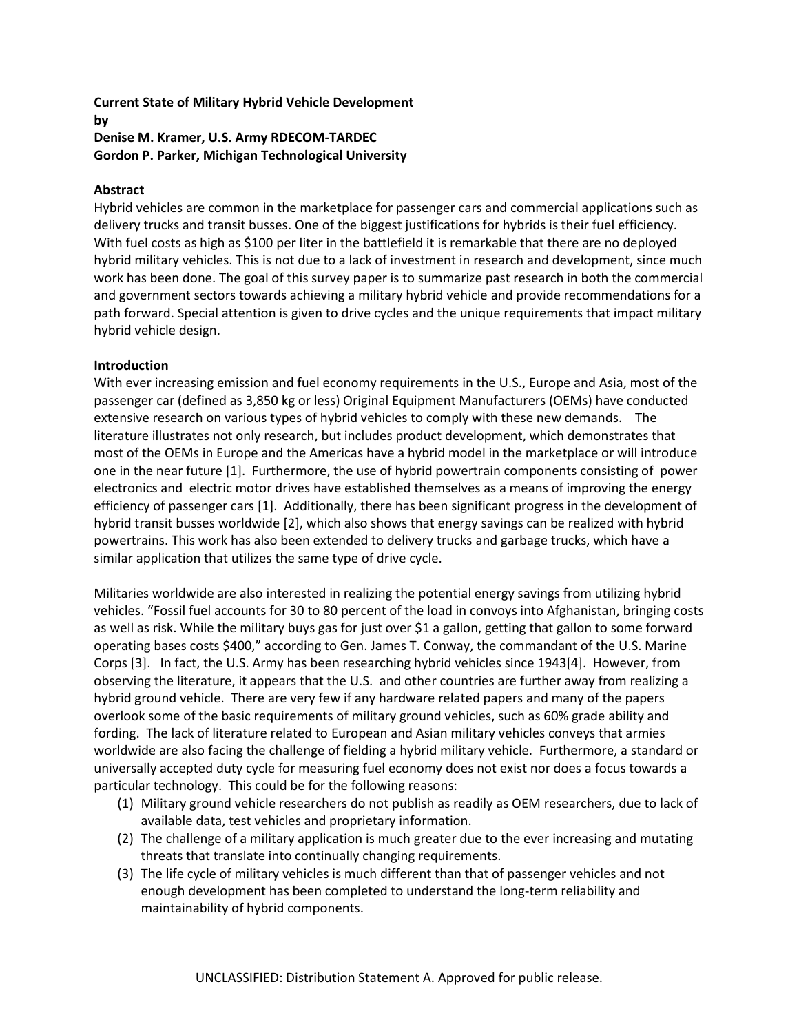### **Current State of Military Hybrid Vehicle Development by Denise M. Kramer, U.S. Army RDECOM-TARDEC Gordon P. Parker, Michigan Technological University**

## **Abstract**

Hybrid vehicles are common in the marketplace for passenger cars and commercial applications such as delivery trucks and transit busses. One of the biggest justifications for hybrids is their fuel efficiency. With fuel costs as high as \$100 per liter in the battlefield it is remarkable that there are no deployed hybrid military vehicles. This is not due to a lack of investment in research and development, since much work has been done. The goal of this survey paper is to summarize past research in both the commercial and government sectors towards achieving a military hybrid vehicle and provide recommendations for a path forward. Special attention is given to drive cycles and the unique requirements that impact military hybrid vehicle design.

#### **Introduction**

With ever increasing emission and fuel economy requirements in the U.S., Europe and Asia, most of the passenger car (defined as 3,850 kg or less) Original Equipment Manufacturers (OEMs) have conducted extensive research on various types of hybrid vehicles to comply with these new demands. The literature illustrates not only research, but includes product development, which demonstrates that most of the OEMs in Europe and the Americas have a hybrid model in the marketplace or will introduce one in the near future [1]. Furthermore, the use of hybrid powertrain components consisting of power electronics and electric motor drives have established themselves as a means of improving the energy efficiency of passenger cars [1]. Additionally, there has been significant progress in the development of hybrid transit busses worldwide [2], which also shows that energy savings can be realized with hybrid powertrains. This work has also been extended to delivery trucks and garbage trucks, which have a similar application that utilizes the same type of drive cycle.

Militaries worldwide are also interested in realizing the potential energy savings from utilizing hybrid vehicles. "Fossil fuel accounts for 30 to 80 percent of the load in convoys into Afghanistan, bringing costs as well as risk. While the military buys gas for just over \$1 a gallon, getting that gallon to some forward operating bases costs \$400," according to Gen. James T. Conway, the commandant of the U.S. Marine Corps [3]. In fact, the U.S. Army has been researching hybrid vehicles since 1943[4]. However, from observing the literature, it appears that the U.S. and other countries are further away from realizing a hybrid ground vehicle. There are very few if any hardware related papers and many of the papers overlook some of the basic requirements of military ground vehicles, such as 60% grade ability and fording. The lack of literature related to European and Asian military vehicles conveys that armies worldwide are also facing the challenge of fielding a hybrid military vehicle. Furthermore, a standard or universally accepted duty cycle for measuring fuel economy does not exist nor does a focus towards a particular technology. This could be for the following reasons:

- (1) Military ground vehicle researchers do not publish as readily as OEM researchers, due to lack of available data, test vehicles and proprietary information.
- (2) The challenge of a military application is much greater due to the ever increasing and mutating threats that translate into continually changing requirements.
- (3) The life cycle of military vehicles is much different than that of passenger vehicles and not enough development has been completed to understand the long-term reliability and maintainability of hybrid components.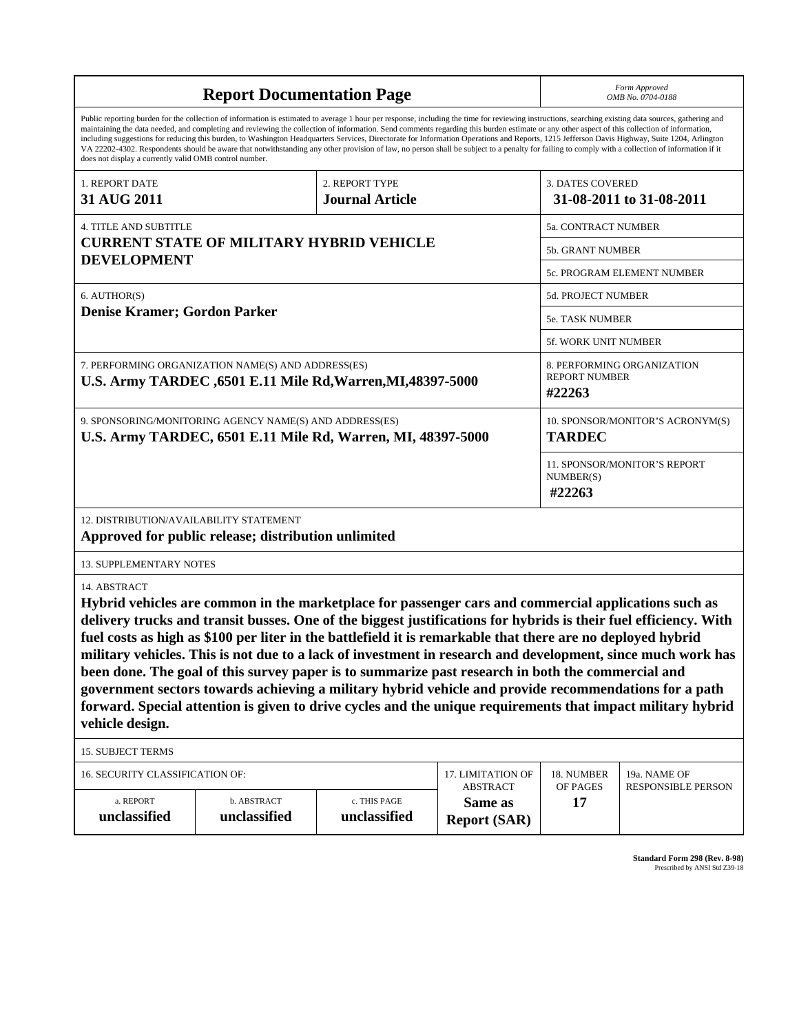|                                                                                                                                                                                                                                                                                                                                                                                                                                                                                                                                                                                                                                                                                                                                                                                                                                                                    | <b>Report Documentation Page</b>                                                                                  | Form Approved<br>OMB No. 0704-0188                |                                      |                                |                                                     |  |
|--------------------------------------------------------------------------------------------------------------------------------------------------------------------------------------------------------------------------------------------------------------------------------------------------------------------------------------------------------------------------------------------------------------------------------------------------------------------------------------------------------------------------------------------------------------------------------------------------------------------------------------------------------------------------------------------------------------------------------------------------------------------------------------------------------------------------------------------------------------------|-------------------------------------------------------------------------------------------------------------------|---------------------------------------------------|--------------------------------------|--------------------------------|-----------------------------------------------------|--|
| Public reporting burden for the collection of information is estimated to average 1 hour per response, including the time for reviewing instructions, searching existing data sources, gathering and<br>maintaining the data needed, and completing and reviewing the collection of information. Send comments regarding this burden estimate or any other aspect of this collection of information,<br>including suggestions for reducing this burden, to Washington Headquarters Services, Directorate for Information Operations and Reports, 1215 Jefferson Davis Highway, Suite 1204, Arlington<br>VA 22202-4302. Respondents should be aware that notwithstanding any other provision of law, no person shall be subject to a penalty for failing to comply with a collection of information if it<br>does not display a currently valid OMB control number. |                                                                                                                   |                                                   |                                      |                                |                                                     |  |
| 1. REPORT DATE                                                                                                                                                                                                                                                                                                                                                                                                                                                                                                                                                                                                                                                                                                                                                                                                                                                     |                                                                                                                   | 2. REPORT TYPE                                    |                                      | <b>3. DATES COVERED</b>        |                                                     |  |
| 31 AUG 2011                                                                                                                                                                                                                                                                                                                                                                                                                                                                                                                                                                                                                                                                                                                                                                                                                                                        |                                                                                                                   | <b>Journal Article</b>                            |                                      |                                | 31-08-2011 to 31-08-2011                            |  |
| <b>4. TITLE AND SUBTITLE</b>                                                                                                                                                                                                                                                                                                                                                                                                                                                                                                                                                                                                                                                                                                                                                                                                                                       |                                                                                                                   |                                                   |                                      | 5a. CONTRACT NUMBER            |                                                     |  |
|                                                                                                                                                                                                                                                                                                                                                                                                                                                                                                                                                                                                                                                                                                                                                                                                                                                                    | <b>CURRENT STATE OF MILITARY HYBRID VEHICLE</b>                                                                   |                                                   |                                      | 5b. GRANT NUMBER               |                                                     |  |
| <b>DEVELOPMENT</b>                                                                                                                                                                                                                                                                                                                                                                                                                                                                                                                                                                                                                                                                                                                                                                                                                                                 |                                                                                                                   |                                                   |                                      | 5c. PROGRAM ELEMENT NUMBER     |                                                     |  |
| 6. AUTHOR(S)                                                                                                                                                                                                                                                                                                                                                                                                                                                                                                                                                                                                                                                                                                                                                                                                                                                       |                                                                                                                   |                                                   |                                      | 5d. PROJECT NUMBER             |                                                     |  |
| Denise Kramer; Gordon Parker                                                                                                                                                                                                                                                                                                                                                                                                                                                                                                                                                                                                                                                                                                                                                                                                                                       |                                                                                                                   |                                                   |                                      | <b>5e. TASK NUMBER</b>         |                                                     |  |
|                                                                                                                                                                                                                                                                                                                                                                                                                                                                                                                                                                                                                                                                                                                                                                                                                                                                    |                                                                                                                   |                                                   |                                      | 5f. WORK UNIT NUMBER           |                                                     |  |
|                                                                                                                                                                                                                                                                                                                                                                                                                                                                                                                                                                                                                                                                                                                                                                                                                                                                    | 7. PERFORMING ORGANIZATION NAME(S) AND ADDRESS(ES)<br>U.S. Army TARDEC, 6501 E.11 Mile Rd, Warren, MI, 48397-5000 |                                                   |                                      | <b>REPORT NUMBER</b><br>#22263 | 8. PERFORMING ORGANIZATION                          |  |
| 9. SPONSORING/MONITORING AGENCY NAME(S) AND ADDRESS(ES)<br>U.S. Army TARDEC, 6501 E.11 Mile Rd, Warren, MI, 48397-5000                                                                                                                                                                                                                                                                                                                                                                                                                                                                                                                                                                                                                                                                                                                                             |                                                                                                                   | 10. SPONSOR/MONITOR'S ACRONYM(S)<br><b>TARDEC</b> |                                      |                                |                                                     |  |
|                                                                                                                                                                                                                                                                                                                                                                                                                                                                                                                                                                                                                                                                                                                                                                                                                                                                    |                                                                                                                   |                                                   |                                      |                                | 11. SPONSOR/MONITOR'S REPORT<br>NUMBER(S)<br>#22263 |  |
| 12. DISTRIBUTION/AVAILABILITY STATEMENT<br>Approved for public release; distribution unlimited                                                                                                                                                                                                                                                                                                                                                                                                                                                                                                                                                                                                                                                                                                                                                                     |                                                                                                                   |                                                   |                                      |                                |                                                     |  |
| <b>13. SUPPLEMENTARY NOTES</b>                                                                                                                                                                                                                                                                                                                                                                                                                                                                                                                                                                                                                                                                                                                                                                                                                                     |                                                                                                                   |                                                   |                                      |                                |                                                     |  |
| 14. ABSTRACT<br>Hybrid vehicles are common in the marketplace for passenger cars and commercial applications such as<br>delivery trucks and transit busses. One of the biggest justifications for hybrids is their fuel efficiency. With<br>fuel costs as high as \$100 per liter in the battlefield it is remarkable that there are no deployed hybrid<br>military vehicles. This is not due to a lack of investment in research and development, since much work has<br>been done. The goal of this survey paper is to summarize past research in both the commercial and<br>government sectors towards achieving a military hybrid vehicle and provide recommendations for a path<br>forward. Special attention is given to drive cycles and the unique requirements that impact military hybrid<br>vehicle design.                                             |                                                                                                                   |                                                   |                                      |                                |                                                     |  |
| <b>15. SUBJECT TERMS</b>                                                                                                                                                                                                                                                                                                                                                                                                                                                                                                                                                                                                                                                                                                                                                                                                                                           |                                                                                                                   |                                                   |                                      |                                |                                                     |  |
| 16. SECURITY CLASSIFICATION OF:                                                                                                                                                                                                                                                                                                                                                                                                                                                                                                                                                                                                                                                                                                                                                                                                                                    |                                                                                                                   |                                                   | 17. LIMITATION OF<br><b>ABSTRACT</b> | 18. NUMBER<br>OF PAGES         | 19a. NAME OF<br><b>RESPONSIBLE PERSON</b>           |  |
| a. REPORT<br>unclassified                                                                                                                                                                                                                                                                                                                                                                                                                                                                                                                                                                                                                                                                                                                                                                                                                                          | b. ABSTRACT<br>unclassified                                                                                       | c. THIS PAGE<br>unclassified                      | Same as<br><b>Report (SAR)</b>       | 17                             |                                                     |  |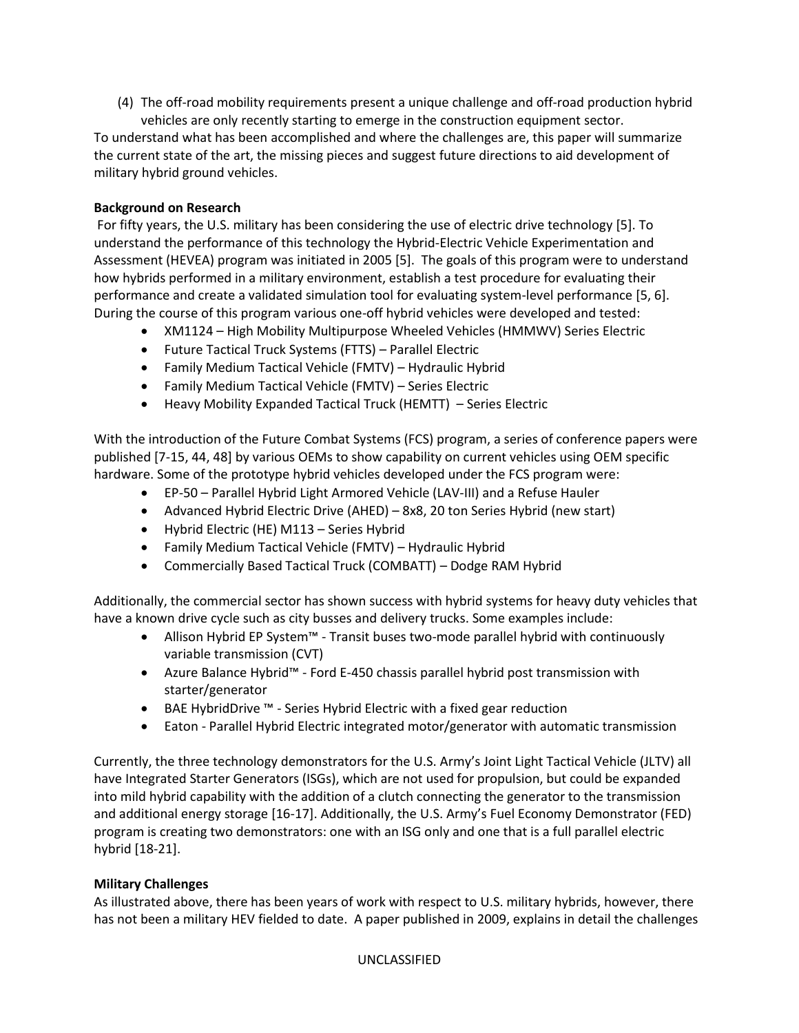(4) The off-road mobility requirements present a unique challenge and off-road production hybrid vehicles are only recently starting to emerge in the construction equipment sector.

To understand what has been accomplished and where the challenges are, this paper will summarize the current state of the art, the missing pieces and suggest future directions to aid development of military hybrid ground vehicles.

# **Background on Research**

 For fifty years, the U.S. military has been considering the use of electric drive technology [5]. To understand the performance of this technology the Hybrid-Electric Vehicle Experimentation and Assessment (HEVEA) program was initiated in 2005 [5]. The goals of this program were to understand how hybrids performed in a military environment, establish a test procedure for evaluating their performance and create a validated simulation tool for evaluating system-level performance [5, 6]. During the course of this program various one-off hybrid vehicles were developed and tested:

- XM1124 High Mobility Multipurpose Wheeled Vehicles (HMMWV) Series Electric
- Future Tactical Truck Systems (FTTS) Parallel Electric
- Family Medium Tactical Vehicle (FMTV) Hydraulic Hybrid
- Family Medium Tactical Vehicle (FMTV) Series Electric
- Heavy Mobility Expanded Tactical Truck (HEMTT) Series Electric

With the introduction of the Future Combat Systems (FCS) program, a series of conference papers were published [7-15, 44, 48] by various OEMs to show capability on current vehicles using OEM specific hardware. Some of the prototype hybrid vehicles developed under the FCS program were:

- EP-50 Parallel Hybrid Light Armored Vehicle (LAV-III) and a Refuse Hauler
- Advanced Hybrid Electric Drive (AHED) 8x8, 20 ton Series Hybrid (new start)
- Hybrid Electric (HE) M113 Series Hybrid
- Family Medium Tactical Vehicle (FMTV) Hydraulic Hybrid
- Commercially Based Tactical Truck (COMBATT) Dodge RAM Hybrid

Additionally, the commercial sector has shown success with hybrid systems for heavy duty vehicles that have a known drive cycle such as city busses and delivery trucks. Some examples include:

- Allison Hybrid EP System™ Transit buses two-mode parallel hybrid with continuously variable transmission (CVT)
- Azure Balance Hybrid™ Ford E-450 chassis parallel hybrid post transmission with starter/generator
- BAE HybridDrive ™ Series Hybrid Electric with a fixed gear reduction
- Eaton Parallel Hybrid Electric integrated motor/generator with automatic transmission

Currently, the three technology demonstrators for the U.S. Army's Joint Light Tactical Vehicle (JLTV) all have Integrated Starter Generators (ISGs), which are not used for propulsion, but could be expanded into mild hybrid capability with the addition of a clutch connecting the generator to the transmission and additional energy storage [16-17]. Additionally, the U.S. Army's Fuel Economy Demonstrator (FED) program is creating two demonstrators: one with an ISG only and one that is a full parallel electric hybrid [18-21].

# **Military Challenges**

As illustrated above, there has been years of work with respect to U.S. military hybrids, however, there has not been a military HEV fielded to date. A paper published in 2009, explains in detail the challenges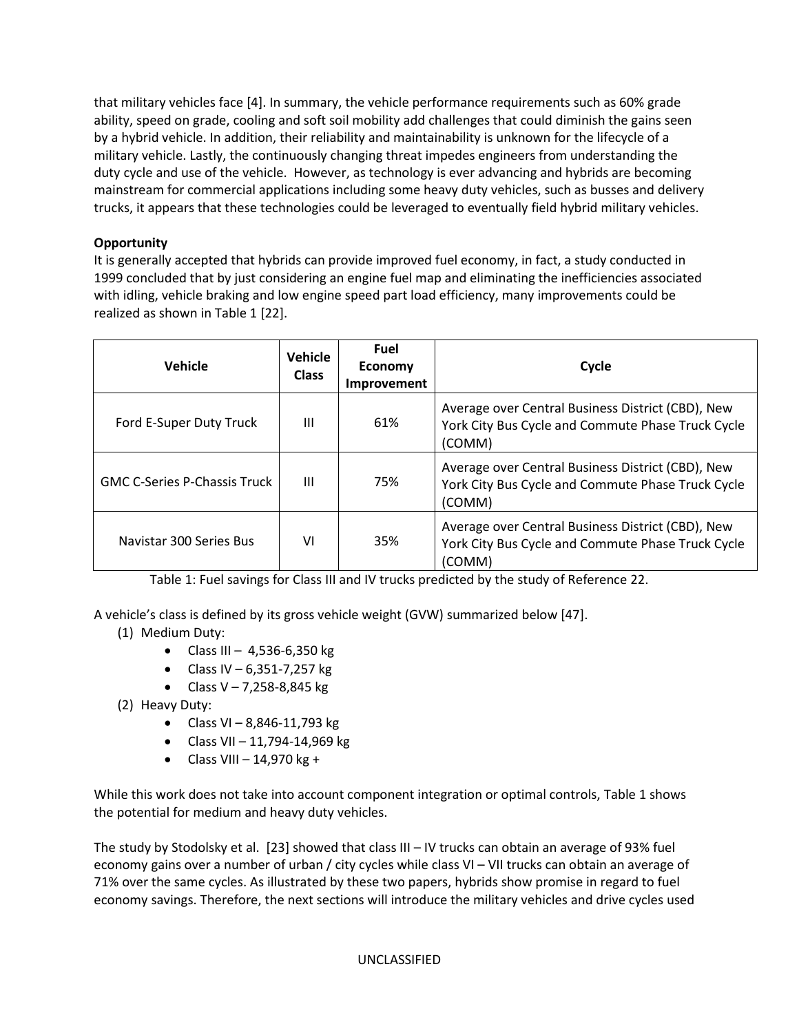that military vehicles face [4]. In summary, the vehicle performance requirements such as 60% grade ability, speed on grade, cooling and soft soil mobility add challenges that could diminish the gains seen by a hybrid vehicle. In addition, their reliability and maintainability is unknown for the lifecycle of a military vehicle. Lastly, the continuously changing threat impedes engineers from understanding the duty cycle and use of the vehicle. However, as technology is ever advancing and hybrids are becoming mainstream for commercial applications including some heavy duty vehicles, such as busses and delivery trucks, it appears that these technologies could be leveraged to eventually field hybrid military vehicles.

# **Opportunity**

It is generally accepted that hybrids can provide improved fuel economy, in fact, a study conducted in 1999 concluded that by just considering an engine fuel map and eliminating the inefficiencies associated with idling, vehicle braking and low engine speed part load efficiency, many improvements could be realized as shown in Table 1 [22].

| <b>Vehicle</b>                      | <b>Vehicle</b><br><b>Class</b> | Fuel<br>Economy<br>Improvement | Cycle                                                                                                            |
|-------------------------------------|--------------------------------|--------------------------------|------------------------------------------------------------------------------------------------------------------|
| Ford E-Super Duty Truck             | Ш                              | 61%                            | Average over Central Business District (CBD), New<br>York City Bus Cycle and Commute Phase Truck Cycle<br>(COMM) |
| <b>GMC C-Series P-Chassis Truck</b> | Ш                              | 75%                            | Average over Central Business District (CBD), New<br>York City Bus Cycle and Commute Phase Truck Cycle<br>(COMM) |
| Navistar 300 Series Bus             | VI                             | 35%                            | Average over Central Business District (CBD), New<br>York City Bus Cycle and Commute Phase Truck Cycle<br>(COMM) |

Table 1: Fuel savings for Class III and IV trucks predicted by the study of Reference 22.

A vehicle's class is defined by its gross vehicle weight (GVW) summarized below [47].

- (1) Medium Duty:
	- Class III  $4,536-6,350$  kg
	- Class IV 6,351-7,257 kg
	- Class  $V 7,258 8,845$  kg
- (2) Heavy Duty:
	- Class VI 8,846-11,793 kg
	- Class VII 11,794-14,969 kg
	- $\bullet$  Class VIII 14,970 kg +

While this work does not take into account component integration or optimal controls, Table 1 shows the potential for medium and heavy duty vehicles.

The study by Stodolsky et al. [23] showed that class III – IV trucks can obtain an average of 93% fuel economy gains over a number of urban / city cycles while class VI – VII trucks can obtain an average of 71% over the same cycles. As illustrated by these two papers, hybrids show promise in regard to fuel economy savings. Therefore, the next sections will introduce the military vehicles and drive cycles used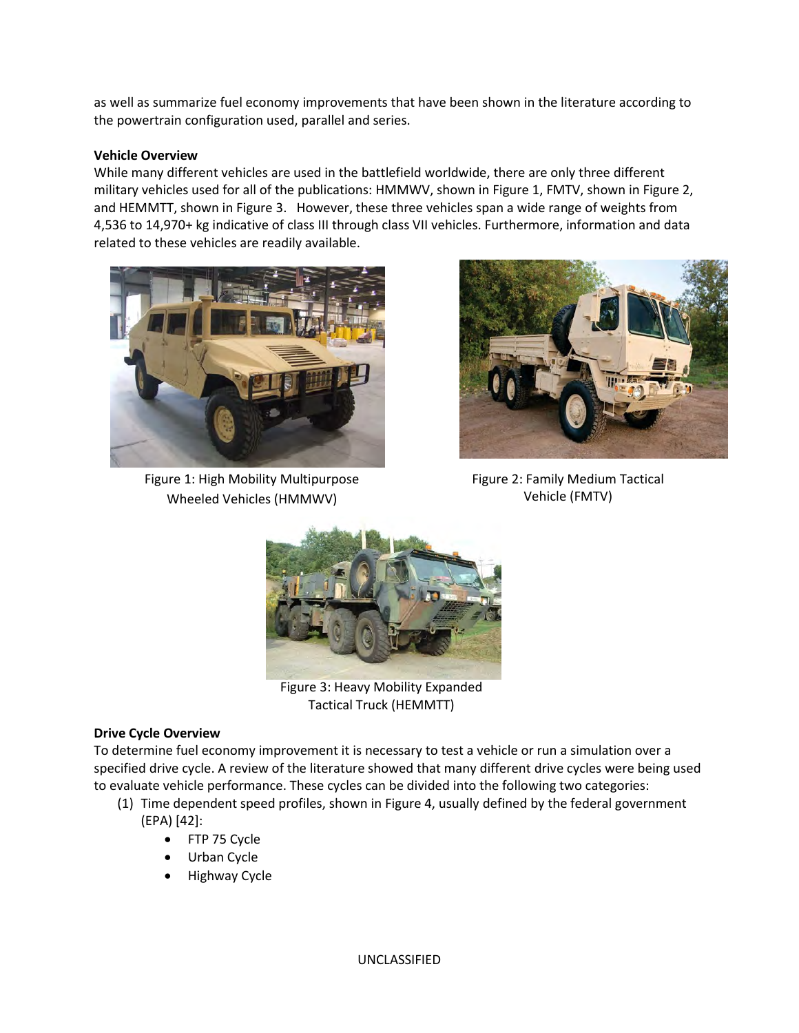as well as summarize fuel economy improvements that have been shown in the literature according to the powertrain configuration used, parallel and series.

#### **Vehicle Overview**

While many different vehicles are used in the battlefield worldwide, there are only three different military vehicles used for all of the publications: HMMWV, shown in Figure 1, FMTV, shown in Figure 2, and HEMMTT, shown in Figure 3. However, these three vehicles span a wide range of weights from 4,536 to 14,970+ kg indicative of class III through class VII vehicles. Furthermore, information and data related to these vehicles are readily available.



Figure 1: High Mobility Multipurpose Wheeled Vehicles (HMMWV)



Figure 2: Family Medium Tactical Vehicle (FMTV)



Figure 3: Heavy Mobility Expanded Tactical Truck (HEMMTT)

#### **Drive Cycle Overview**

To determine fuel economy improvement it is necessary to test a vehicle or run a simulation over a specified drive cycle. A review of the literature showed that many different drive cycles were being used to evaluate vehicle performance. These cycles can be divided into the following two categories:

- (1) Time dependent speed profiles, shown in Figure 4, usually defined by the federal government (EPA) [42]:
	- FTP 75 Cycle
	- Urban Cycle
	- Highway Cycle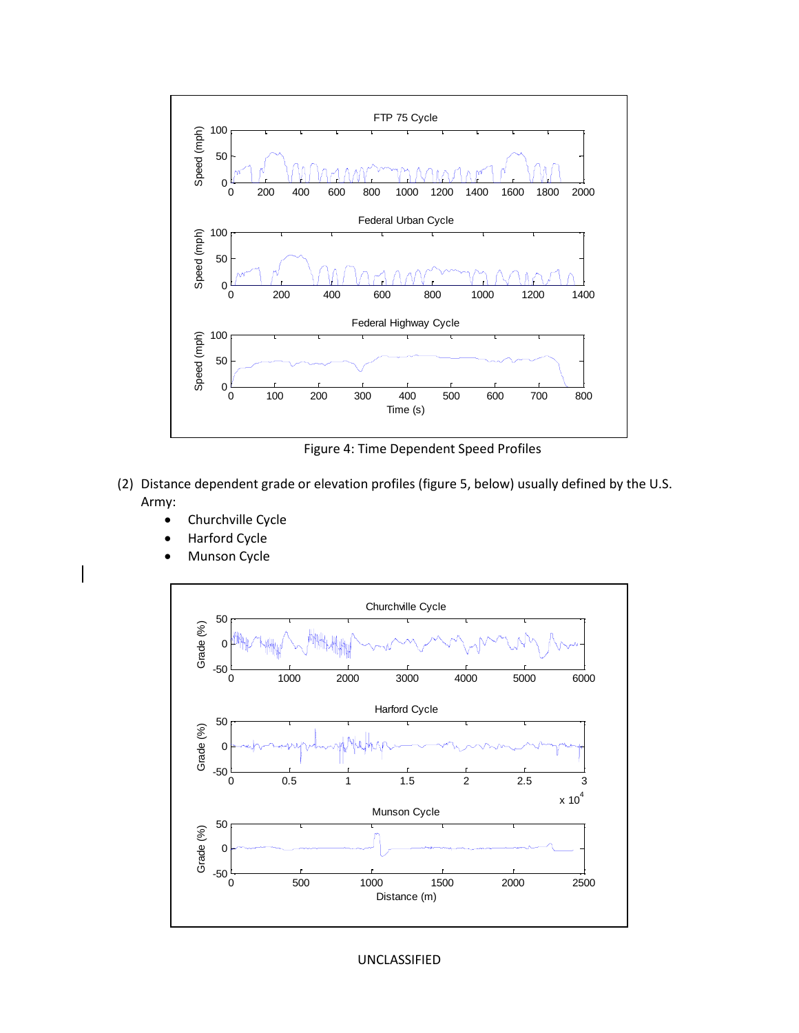

Figure 4: Time Dependent Speed Profiles

- (2) Distance dependent grade or elevation profiles (figure 5, below) usually defined by the U.S. Army:
	- Churchville Cycle
	- Harford Cycle
	- Munson Cycle



UNCLASSIFIED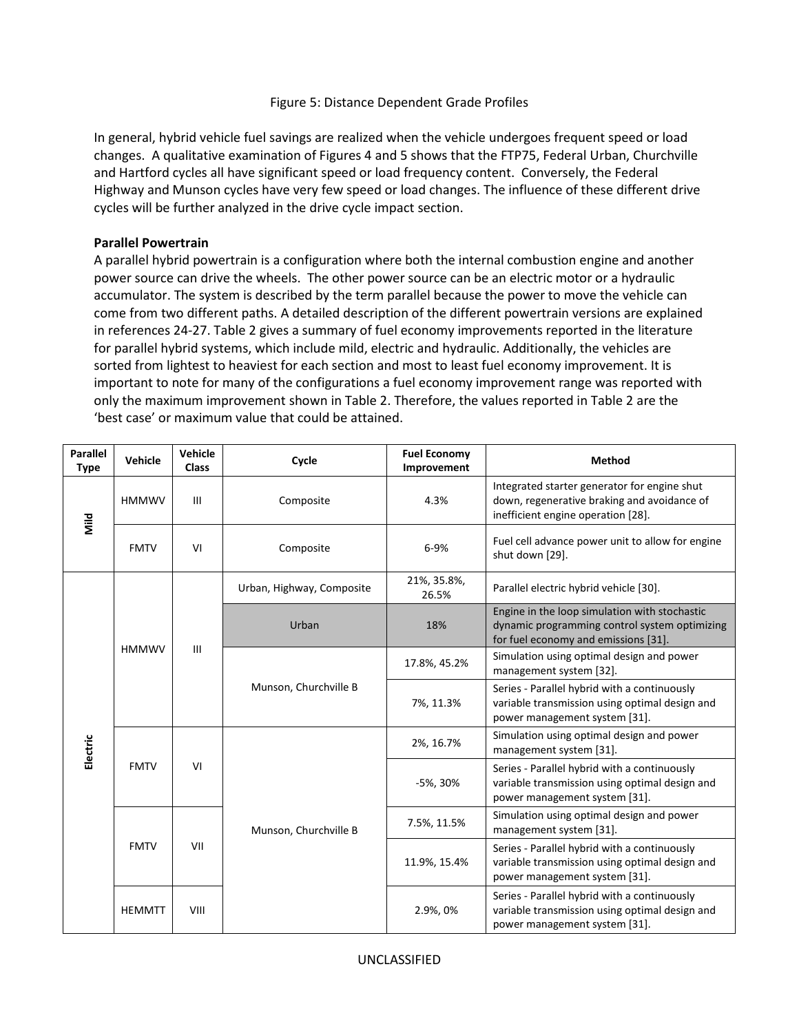#### Figure 5: Distance Dependent Grade Profiles

In general, hybrid vehicle fuel savings are realized when the vehicle undergoes frequent speed or load changes. A qualitative examination of Figures 4 and 5 shows that the FTP75, Federal Urban, Churchville and Hartford cycles all have significant speed or load frequency content. Conversely, the Federal Highway and Munson cycles have very few speed or load changes. The influence of these different drive cycles will be further analyzed in the drive cycle impact section.

#### **Parallel Powertrain**

A parallel hybrid powertrain is a configuration where both the internal combustion engine and another power source can drive the wheels. The other power source can be an electric motor or a hydraulic accumulator. The system is described by the term parallel because the power to move the vehicle can come from two different paths. A detailed description of the different powertrain versions are explained in references 24-27. Table 2 gives a summary of fuel economy improvements reported in the literature for parallel hybrid systems, which include mild, electric and hydraulic. Additionally, the vehicles are sorted from lightest to heaviest for each section and most to least fuel economy improvement. It is important to note for many of the configurations a fuel economy improvement range was reported with only the maximum improvement shown in Table 2. Therefore, the values reported in Table 2 are the 'best case' or maximum value that could be attained.

| <b>Parallel</b><br><b>Type</b>         | Vehicle             | Vehicle<br><b>Class</b> | Cycle                                                                                                                           | <b>Fuel Economy</b><br>Improvement                                                                                                     | <b>Method</b>                                                                                                                     |
|----------------------------------------|---------------------|-------------------------|---------------------------------------------------------------------------------------------------------------------------------|----------------------------------------------------------------------------------------------------------------------------------------|-----------------------------------------------------------------------------------------------------------------------------------|
| Mild                                   | <b>HMMWV</b><br>III |                         | Composite                                                                                                                       | 4.3%                                                                                                                                   | Integrated starter generator for engine shut<br>down, regenerative braking and avoidance of<br>inefficient engine operation [28]. |
|                                        | <b>FMTV</b>         | VI                      | Composite                                                                                                                       | 6-9%                                                                                                                                   | Fuel cell advance power unit to allow for engine<br>shut down [29].                                                               |
|                                        |                     |                         | Urban, Highway, Composite                                                                                                       | 21%, 35.8%,<br>26.5%                                                                                                                   | Parallel electric hybrid vehicle [30].                                                                                            |
| <b>HMMWV</b>                           |                     | Urban                   | 18%                                                                                                                             | Engine in the loop simulation with stochastic<br>dynamic programming control system optimizing<br>for fuel economy and emissions [31]. |                                                                                                                                   |
|                                        | III                 |                         | 17.8%, 45.2%                                                                                                                    | Simulation using optimal design and power<br>management system [32].                                                                   |                                                                                                                                   |
|                                        |                     | Munson, Churchville B   | 7%, 11.3%                                                                                                                       | Series - Parallel hybrid with a continuously<br>variable transmission using optimal design and<br>power management system [31].        |                                                                                                                                   |
| Electric<br><b>FMTV</b><br><b>FMTV</b> | VI                  |                         |                                                                                                                                 | 2%, 16.7%                                                                                                                              | Simulation using optimal design and power<br>management system [31].                                                              |
|                                        |                     | -5%, 30%                | Series - Parallel hybrid with a continuously<br>variable transmission using optimal design and<br>power management system [31]. |                                                                                                                                        |                                                                                                                                   |
|                                        |                     |                         | Munson, Churchville B                                                                                                           | 7.5%, 11.5%                                                                                                                            | Simulation using optimal design and power<br>management system [31].                                                              |
|                                        |                     | VII                     |                                                                                                                                 | 11.9%, 15.4%                                                                                                                           | Series - Parallel hybrid with a continuously<br>variable transmission using optimal design and<br>power management system [31].   |
| <b>HEMMTT</b>                          |                     | VIII                    |                                                                                                                                 | 2.9%, 0%                                                                                                                               | Series - Parallel hybrid with a continuously<br>variable transmission using optimal design and<br>power management system [31].   |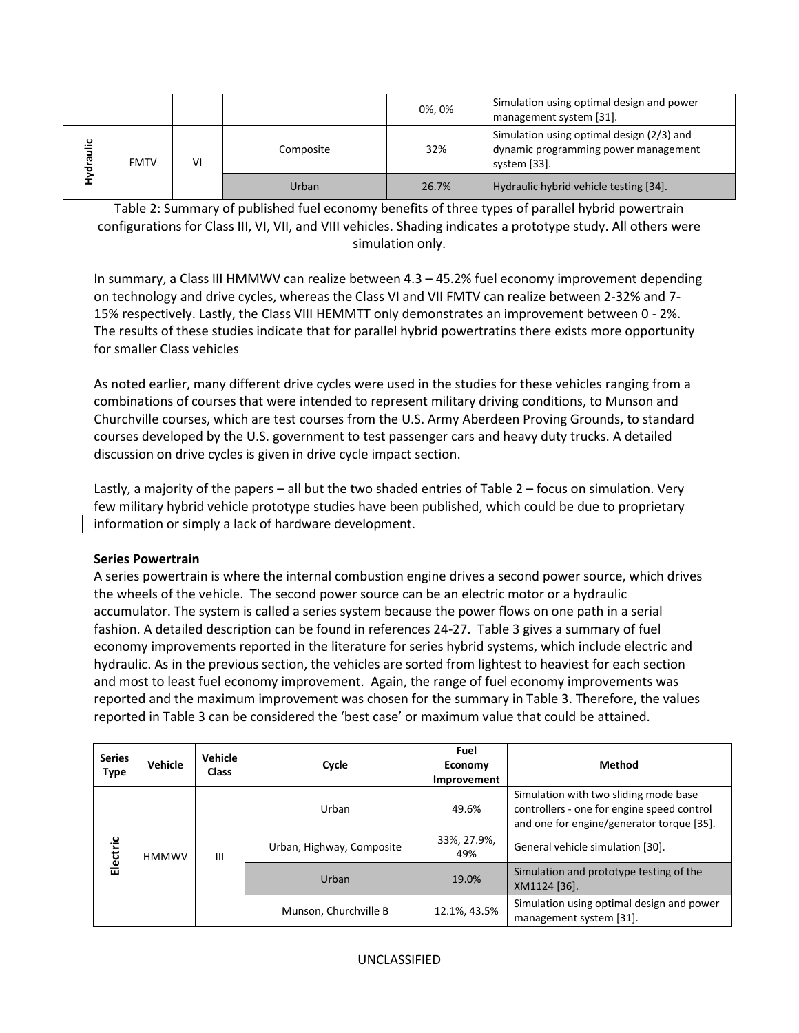|                |             |    |           | 0%, 0% | Simulation using optimal design and power<br>management system [31].                              |
|----------------|-------------|----|-----------|--------|---------------------------------------------------------------------------------------------------|
| $\frac{12}{3}$ | <b>FMTV</b> | VI | Composite | 32%    | Simulation using optimal design (2/3) and<br>dynamic programming power management<br>system [33]. |
|                |             |    | Urban     | 26.7%  | Hydraulic hybrid vehicle testing [34].                                                            |

Table 2: Summary of published fuel economy benefits of three types of parallel hybrid powertrain configurations for Class III, VI, VII, and VIII vehicles. Shading indicates a prototype study. All others were simulation only.

In summary, a Class III HMMWV can realize between 4.3 – 45.2% fuel economy improvement depending on technology and drive cycles, whereas the Class VI and VII FMTV can realize between 2-32% and 7- 15% respectively. Lastly, the Class VIII HEMMTT only demonstrates an improvement between 0 - 2%. The results of these studies indicate that for parallel hybrid powertratins there exists more opportunity for smaller Class vehicles

As noted earlier, many different drive cycles were used in the studies for these vehicles ranging from a combinations of courses that were intended to represent military driving conditions, to Munson and Churchville courses, which are test courses from the U.S. Army Aberdeen Proving Grounds, to standard courses developed by the U.S. government to test passenger cars and heavy duty trucks. A detailed discussion on drive cycles is given in drive cycle impact section.

Lastly, a majority of the papers – all but the two shaded entries of Table 2 – focus on simulation. Very few military hybrid vehicle prototype studies have been published, which could be due to proprietary information or simply a lack of hardware development.

#### **Series Powertrain**

A series powertrain is where the internal combustion engine drives a second power source, which drives the wheels of the vehicle. The second power source can be an electric motor or a hydraulic accumulator. The system is called a series system because the power flows on one path in a serial fashion. A detailed description can be found in references 24-27. Table 3 gives a summary of fuel economy improvements reported in the literature for series hybrid systems, which include electric and hydraulic. As in the previous section, the vehicles are sorted from lightest to heaviest for each section and most to least fuel economy improvement. Again, the range of fuel economy improvements was reported and the maximum improvement was chosen for the summary in Table 3. Therefore, the values reported in Table 3 can be considered the 'best case' or maximum value that could be attained.

| <b>Series</b><br><b>Type</b> | Vehicle | Vehicle<br><b>Class</b> | Cycle                     | Fuel<br>Economy<br>Improvement                          | Method                                                                                                                           |
|------------------------------|---------|-------------------------|---------------------------|---------------------------------------------------------|----------------------------------------------------------------------------------------------------------------------------------|
|                              |         |                         | Urban                     | 49.6%                                                   | Simulation with two sliding mode base<br>controllers - one for engine speed control<br>and one for engine/generator torque [35]. |
| Electric<br><b>HMMWV</b>     | Ш       |                         | Urban, Highway, Composite | 33%, 27.9%,<br>49%                                      | General vehicle simulation [30].                                                                                                 |
|                              |         | Urban                   | 19.0%                     | Simulation and prototype testing of the<br>XM1124 [36]. |                                                                                                                                  |
|                              |         |                         | Munson, Churchville B     | 12.1%, 43.5%                                            | Simulation using optimal design and power<br>management system [31].                                                             |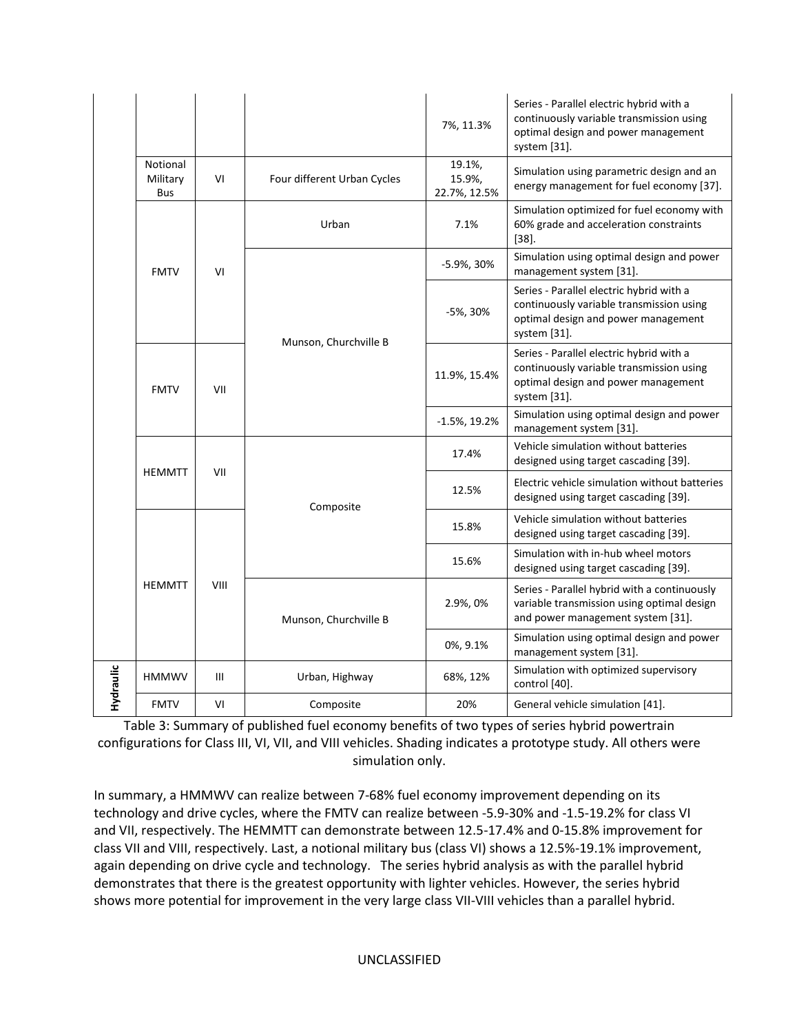|           |                             |      |                                                                                 | 7%, 11.3%                                                                              | Series - Parallel electric hybrid with a<br>continuously variable transmission using<br>optimal design and power management<br>system [31]. |
|-----------|-----------------------------|------|---------------------------------------------------------------------------------|----------------------------------------------------------------------------------------|---------------------------------------------------------------------------------------------------------------------------------------------|
|           | Notional<br>Military<br>Bus | VI   | Four different Urban Cycles                                                     | 19.1%,<br>15.9%,<br>22.7%, 12.5%                                                       | Simulation using parametric design and an<br>energy management for fuel economy [37].                                                       |
|           |                             |      | Urban                                                                           | 7.1%                                                                                   | Simulation optimized for fuel economy with<br>60% grade and acceleration constraints<br>$[38]$ .                                            |
|           | <b>FMTV</b>                 | VI   |                                                                                 | -5.9%, 30%                                                                             | Simulation using optimal design and power<br>management system [31].                                                                        |
|           |                             |      | Munson, Churchville B                                                           | -5%, 30%                                                                               | Series - Parallel electric hybrid with a<br>continuously variable transmission using<br>optimal design and power management<br>system [31]. |
|           | <b>FMTV</b>                 | VII  | 11.9%, 15.4%<br>$-1.5\%$ , 19.2%<br>17.4%<br>VII<br>12.5%<br>Composite<br>15.8% |                                                                                        | Series - Parallel electric hybrid with a<br>continuously variable transmission using<br>optimal design and power management<br>system [31]. |
|           |                             |      |                                                                                 |                                                                                        | Simulation using optimal design and power<br>management system [31].                                                                        |
|           | <b>HEMMTT</b>               |      |                                                                                 |                                                                                        | Vehicle simulation without batteries<br>designed using target cascading [39].                                                               |
|           |                             |      |                                                                                 | Electric vehicle simulation without batteries<br>designed using target cascading [39]. |                                                                                                                                             |
|           |                             |      |                                                                                 |                                                                                        | Vehicle simulation without batteries<br>designed using target cascading [39].                                                               |
|           |                             |      |                                                                                 | 15.6%                                                                                  | Simulation with in-hub wheel motors<br>designed using target cascading [39].                                                                |
|           | <b>HEMMTT</b>               | VIII | Munson, Churchville B                                                           | 2.9%, 0%                                                                               | Series - Parallel hybrid with a continuously<br>variable transmission using optimal design<br>and power management system [31].             |
|           |                             |      |                                                                                 | 0%, 9.1%                                                                               | Simulation using optimal design and power<br>management system [31].                                                                        |
| Hydraulic | <b>HMMWV</b>                | III  | Urban, Highway                                                                  | 68%, 12%                                                                               | Simulation with optimized supervisory<br>control [40].                                                                                      |
|           | <b>FMTV</b>                 | VI   | Composite                                                                       | 20%                                                                                    | General vehicle simulation [41].                                                                                                            |

Table 3: Summary of published fuel economy benefits of two types of series hybrid powertrain configurations for Class III, VI, VII, and VIII vehicles. Shading indicates a prototype study. All others were simulation only.

In summary, a HMMWV can realize between 7-68% fuel economy improvement depending on its technology and drive cycles, where the FMTV can realize between -5.9-30% and -1.5-19.2% for class VI and VII, respectively. The HEMMTT can demonstrate between 12.5-17.4% and 0-15.8% improvement for class VII and VIII, respectively. Last, a notional military bus (class VI) shows a 12.5%-19.1% improvement, again depending on drive cycle and technology. The series hybrid analysis as with the parallel hybrid demonstrates that there is the greatest opportunity with lighter vehicles. However, the series hybrid shows more potential for improvement in the very large class VII-VIII vehicles than a parallel hybrid.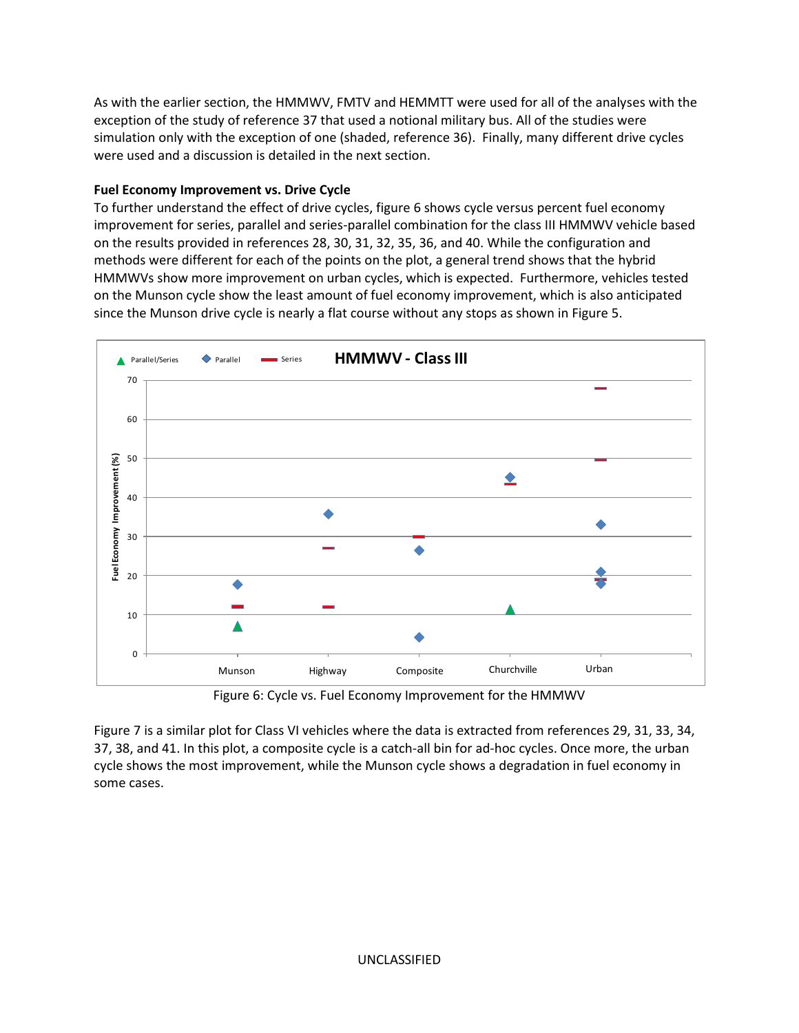As with the earlier section, the HMMWV, FMTV and HEMMTT were used for all of the analyses with the exception of the study of reference 37 that used a notional military bus. All of the studies were simulation only with the exception of one (shaded, reference 36). Finally, many different drive cycles were used and a discussion is detailed in the next section.

# **Fuel Economy Improvement vs. Drive Cycle**

To further understand the effect of drive cycles, figure 6 shows cycle versus percent fuel economy improvement for series, parallel and series-parallel combination for the class III HMMWV vehicle based on the results provided in references 28, 30, 31, 32, 35, 36, and 40. While the configuration and methods were different for each of the points on the plot, a general trend shows that the hybrid HMMWVs show more improvement on urban cycles, which is expected. Furthermore, vehicles tested on the Munson cycle show the least amount of fuel economy improvement, which is also anticipated since the Munson drive cycle is nearly a flat course without any stops as shown in Figure 5.



Figure 6: Cycle vs. Fuel Economy Improvement for the HMMWV

Figure 7 is a similar plot for Class VI vehicles where the data is extracted from references 29, 31, 33, 34, 37, 38, and 41. In this plot, a composite cycle is a catch-all bin for ad-hoc cycles. Once more, the urban cycle shows the most improvement, while the Munson cycle shows a degradation in fuel economy in some cases.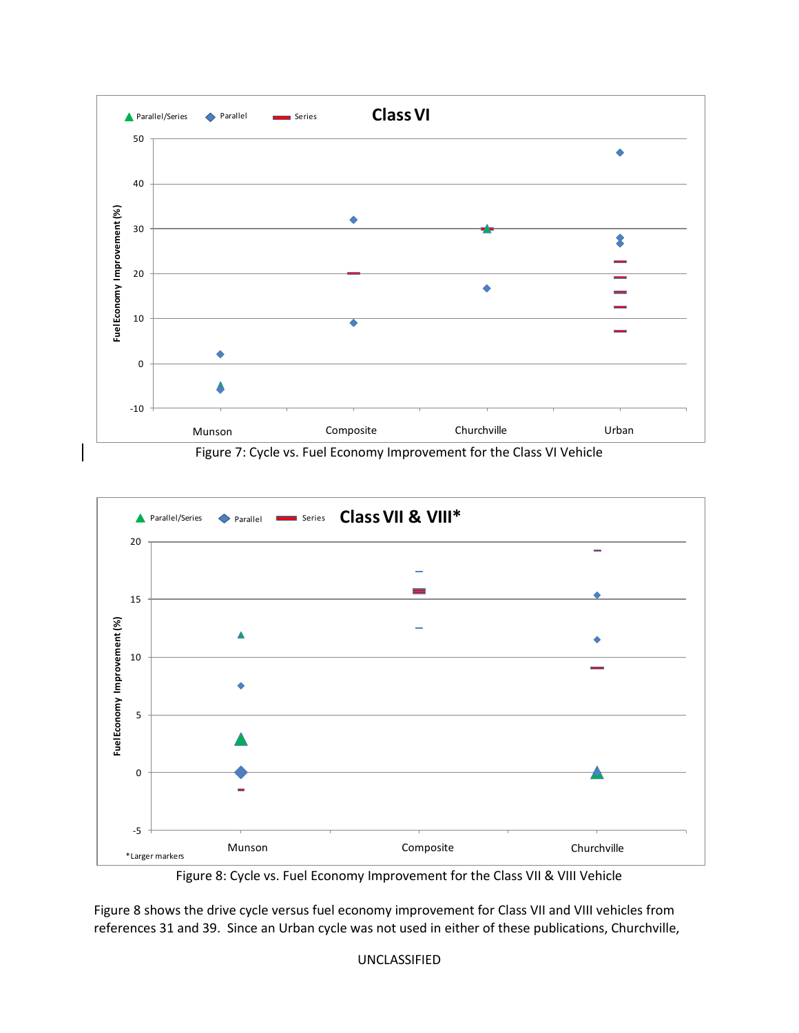

Figure 7: Cycle vs. Fuel Economy Improvement for the Class VI Vehicle



Figure 8: Cycle vs. Fuel Economy Improvement for the Class VII & VIII Vehicle

Figure 8 shows the drive cycle versus fuel economy improvement for Class VII and VIII vehicles from references 31 and 39. Since an Urban cycle was not used in either of these publications, Churchville,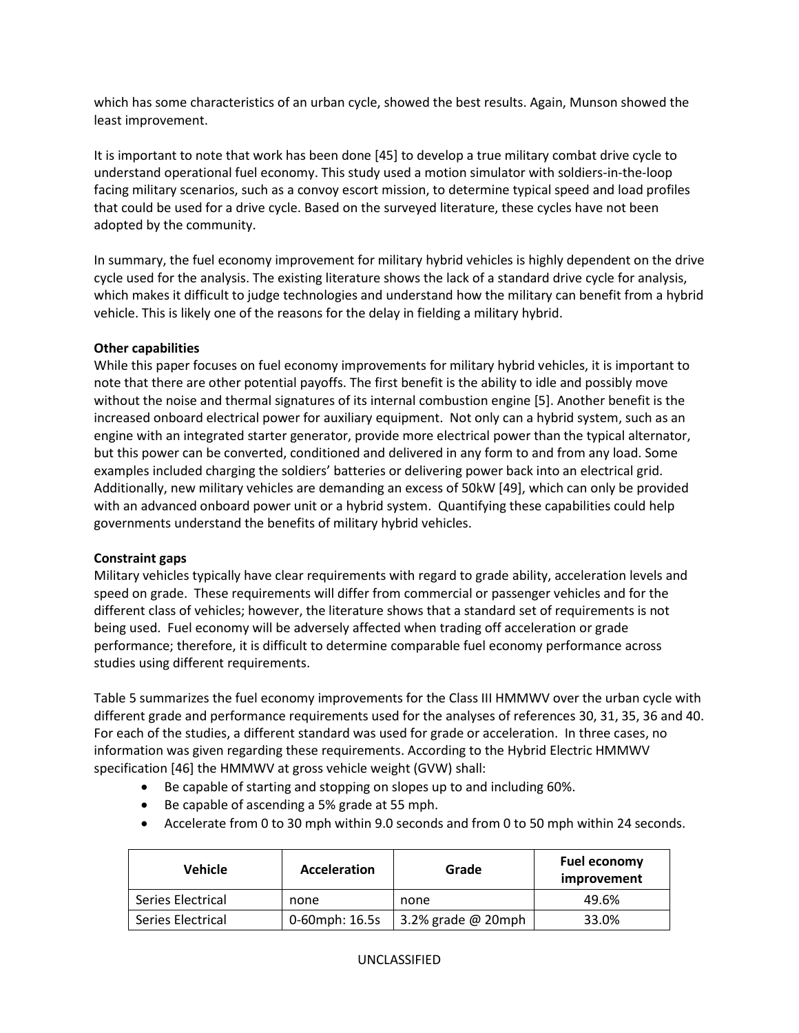which has some characteristics of an urban cycle, showed the best results. Again, Munson showed the least improvement.

It is important to note that work has been done [45] to develop a true military combat drive cycle to understand operational fuel economy. This study used a motion simulator with soldiers-in-the-loop facing military scenarios, such as a convoy escort mission, to determine typical speed and load profiles that could be used for a drive cycle. Based on the surveyed literature, these cycles have not been adopted by the community.

In summary, the fuel economy improvement for military hybrid vehicles is highly dependent on the drive cycle used for the analysis. The existing literature shows the lack of a standard drive cycle for analysis, which makes it difficult to judge technologies and understand how the military can benefit from a hybrid vehicle. This is likely one of the reasons for the delay in fielding a military hybrid.

## **Other capabilities**

While this paper focuses on fuel economy improvements for military hybrid vehicles, it is important to note that there are other potential payoffs. The first benefit is the ability to idle and possibly move without the noise and thermal signatures of its internal combustion engine [5]. Another benefit is the increased onboard electrical power for auxiliary equipment. Not only can a hybrid system, such as an engine with an integrated starter generator, provide more electrical power than the typical alternator, but this power can be converted, conditioned and delivered in any form to and from any load. Some examples included charging the soldiers' batteries or delivering power back into an electrical grid. Additionally, new military vehicles are demanding an excess of 50kW [49], which can only be provided with an advanced onboard power unit or a hybrid system. Quantifying these capabilities could help governments understand the benefits of military hybrid vehicles.

#### **Constraint gaps**

Military vehicles typically have clear requirements with regard to grade ability, acceleration levels and speed on grade. These requirements will differ from commercial or passenger vehicles and for the different class of vehicles; however, the literature shows that a standard set of requirements is not being used. Fuel economy will be adversely affected when trading off acceleration or grade performance; therefore, it is difficult to determine comparable fuel economy performance across studies using different requirements.

Table 5 summarizes the fuel economy improvements for the Class III HMMWV over the urban cycle with different grade and performance requirements used for the analyses of references 30, 31, 35, 36 and 40. For each of the studies, a different standard was used for grade or acceleration. In three cases, no information was given regarding these requirements. According to the Hybrid Electric HMMWV specification [46] the HMMWV at gross vehicle weight (GVW) shall:

- Be capable of starting and stopping on slopes up to and including 60%.
- Be capable of ascending a 5% grade at 55 mph.
- Accelerate from 0 to 30 mph within 9.0 seconds and from 0 to 50 mph within 24 seconds.

| <b>Vehicle</b>    | <b>Acceleration</b> | Grade                | <b>Fuel economy</b><br>improvement |
|-------------------|---------------------|----------------------|------------------------------------|
| Series Electrical | none                | none                 | 49.6%                              |
| Series Electrical | 0-60mph: 16.5s      | 3.2% grade $@$ 20mph | 33.0%                              |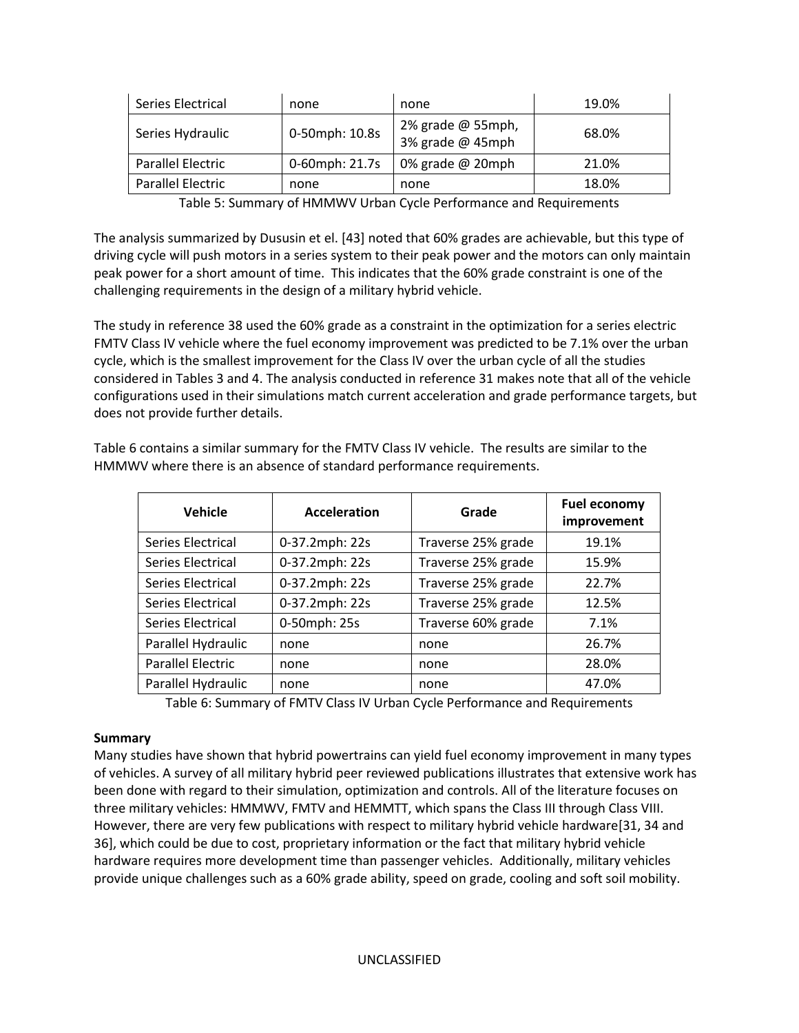| Series Electrical | none           | none                                    | 19.0% |
|-------------------|----------------|-----------------------------------------|-------|
| Series Hydraulic  | 0-50mph: 10.8s | 2% grade $@$ 55mph,<br>3% grade @ 45mph | 68.0% |
| Parallel Electric | 0-60mph: 21.7s | 0% grade @ 20mph                        | 21.0% |
| Parallel Electric | none           | none                                    | 18.0% |

Table 5: Summary of HMMWV Urban Cycle Performance and Requirements

The analysis summarized by Dususin et el. [43] noted that 60% grades are achievable, but this type of driving cycle will push motors in a series system to their peak power and the motors can only maintain peak power for a short amount of time. This indicates that the 60% grade constraint is one of the challenging requirements in the design of a military hybrid vehicle.

The study in reference 38 used the 60% grade as a constraint in the optimization for a series electric FMTV Class IV vehicle where the fuel economy improvement was predicted to be 7.1% over the urban cycle, which is the smallest improvement for the Class IV over the urban cycle of all the studies considered in Tables 3 and 4. The analysis conducted in reference 31 makes note that all of the vehicle configurations used in their simulations match current acceleration and grade performance targets, but does not provide further details.

| <b>Vehicle</b>           | <b>Acceleration</b> | Grade              | <b>Fuel economy</b><br>improvement |
|--------------------------|---------------------|--------------------|------------------------------------|
| Series Electrical        | 0-37.2mph: 22s      | Traverse 25% grade | 19.1%                              |
| Series Electrical        | 0-37.2mph: 22s      | Traverse 25% grade | 15.9%                              |
| Series Electrical        | 0-37.2mph: 22s      | Traverse 25% grade | 22.7%                              |
| Series Electrical        | 0-37.2mph: 22s      | Traverse 25% grade | 12.5%                              |
| Series Electrical        | 0-50mph: 25s        | Traverse 60% grade | 7.1%                               |
| Parallel Hydraulic       | none                | none               | 26.7%                              |
| <b>Parallel Electric</b> | none                | none               | 28.0%                              |
| Parallel Hydraulic       | none                | none               | 47.0%                              |

Table 6 contains a similar summary for the FMTV Class IV vehicle. The results are similar to the HMMWV where there is an absence of standard performance requirements.

Table 6: Summary of FMTV Class IV Urban Cycle Performance and Requirements

#### **Summary**

Many studies have shown that hybrid powertrains can yield fuel economy improvement in many types of vehicles. A survey of all military hybrid peer reviewed publications illustrates that extensive work has been done with regard to their simulation, optimization and controls. All of the literature focuses on three military vehicles: HMMWV, FMTV and HEMMTT, which spans the Class III through Class VIII. However, there are very few publications with respect to military hybrid vehicle hardware[31, 34 and 36], which could be due to cost, proprietary information or the fact that military hybrid vehicle hardware requires more development time than passenger vehicles. Additionally, military vehicles provide unique challenges such as a 60% grade ability, speed on grade, cooling and soft soil mobility.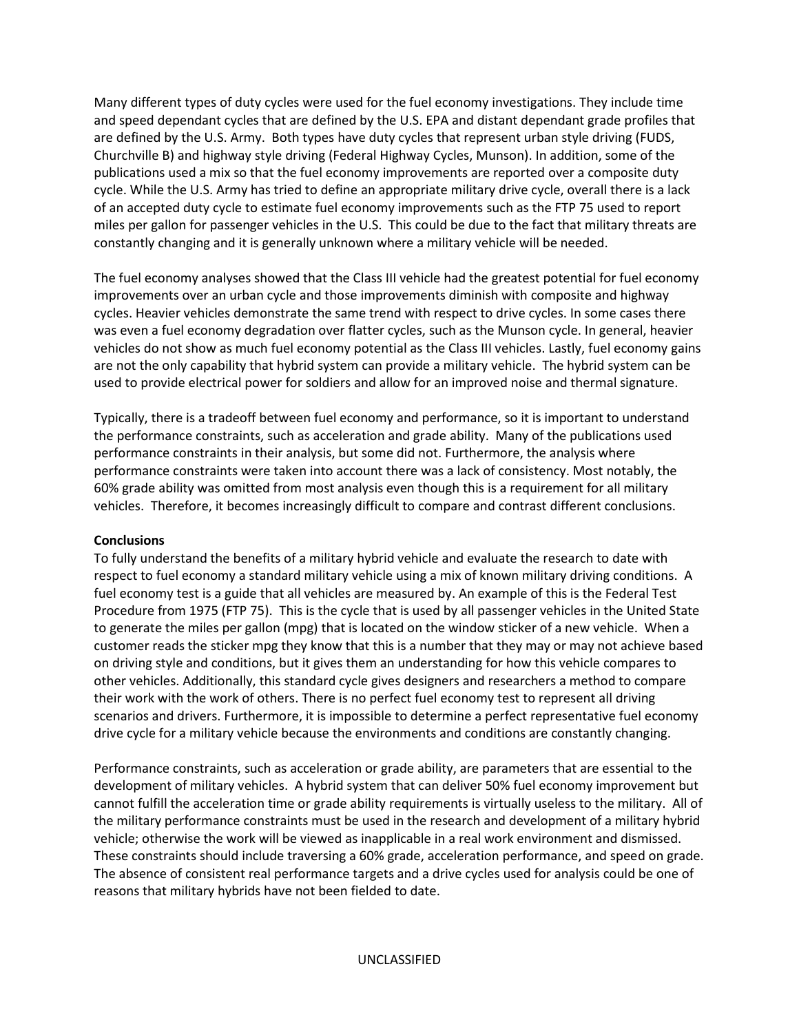Many different types of duty cycles were used for the fuel economy investigations. They include time and speed dependant cycles that are defined by the U.S. EPA and distant dependant grade profiles that are defined by the U.S. Army. Both types have duty cycles that represent urban style driving (FUDS, Churchville B) and highway style driving (Federal Highway Cycles, Munson). In addition, some of the publications used a mix so that the fuel economy improvements are reported over a composite duty cycle. While the U.S. Army has tried to define an appropriate military drive cycle, overall there is a lack of an accepted duty cycle to estimate fuel economy improvements such as the FTP 75 used to report miles per gallon for passenger vehicles in the U.S. This could be due to the fact that military threats are constantly changing and it is generally unknown where a military vehicle will be needed.

The fuel economy analyses showed that the Class III vehicle had the greatest potential for fuel economy improvements over an urban cycle and those improvements diminish with composite and highway cycles. Heavier vehicles demonstrate the same trend with respect to drive cycles. In some cases there was even a fuel economy degradation over flatter cycles, such as the Munson cycle. In general, heavier vehicles do not show as much fuel economy potential as the Class III vehicles. Lastly, fuel economy gains are not the only capability that hybrid system can provide a military vehicle. The hybrid system can be used to provide electrical power for soldiers and allow for an improved noise and thermal signature.

Typically, there is a tradeoff between fuel economy and performance, so it is important to understand the performance constraints, such as acceleration and grade ability. Many of the publications used performance constraints in their analysis, but some did not. Furthermore, the analysis where performance constraints were taken into account there was a lack of consistency. Most notably, the 60% grade ability was omitted from most analysis even though this is a requirement for all military vehicles. Therefore, it becomes increasingly difficult to compare and contrast different conclusions.

#### **Conclusions**

To fully understand the benefits of a military hybrid vehicle and evaluate the research to date with respect to fuel economy a standard military vehicle using a mix of known military driving conditions. A fuel economy test is a guide that all vehicles are measured by. An example of this is the Federal Test Procedure from 1975 (FTP 75). This is the cycle that is used by all passenger vehicles in the United State to generate the miles per gallon (mpg) that is located on the window sticker of a new vehicle. When a customer reads the sticker mpg they know that this is a number that they may or may not achieve based on driving style and conditions, but it gives them an understanding for how this vehicle compares to other vehicles. Additionally, this standard cycle gives designers and researchers a method to compare their work with the work of others. There is no perfect fuel economy test to represent all driving scenarios and drivers. Furthermore, it is impossible to determine a perfect representative fuel economy drive cycle for a military vehicle because the environments and conditions are constantly changing.

Performance constraints, such as acceleration or grade ability, are parameters that are essential to the development of military vehicles. A hybrid system that can deliver 50% fuel economy improvement but cannot fulfill the acceleration time or grade ability requirements is virtually useless to the military. All of the military performance constraints must be used in the research and development of a military hybrid vehicle; otherwise the work will be viewed as inapplicable in a real work environment and dismissed. These constraints should include traversing a 60% grade, acceleration performance, and speed on grade. The absence of consistent real performance targets and a drive cycles used for analysis could be one of reasons that military hybrids have not been fielded to date.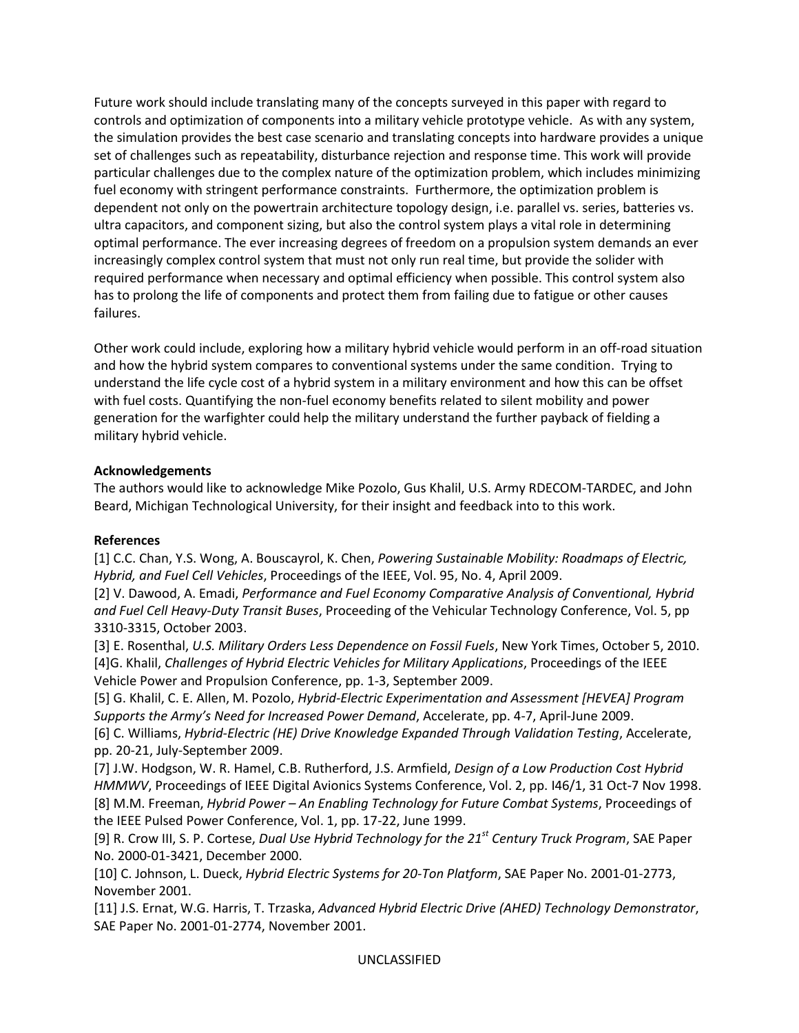Future work should include translating many of the concepts surveyed in this paper with regard to controls and optimization of components into a military vehicle prototype vehicle. As with any system, the simulation provides the best case scenario and translating concepts into hardware provides a unique set of challenges such as repeatability, disturbance rejection and response time. This work will provide particular challenges due to the complex nature of the optimization problem, which includes minimizing fuel economy with stringent performance constraints. Furthermore, the optimization problem is dependent not only on the powertrain architecture topology design, i.e. parallel vs. series, batteries vs. ultra capacitors, and component sizing, but also the control system plays a vital role in determining optimal performance. The ever increasing degrees of freedom on a propulsion system demands an ever increasingly complex control system that must not only run real time, but provide the solider with required performance when necessary and optimal efficiency when possible. This control system also has to prolong the life of components and protect them from failing due to fatigue or other causes failures.

Other work could include, exploring how a military hybrid vehicle would perform in an off-road situation and how the hybrid system compares to conventional systems under the same condition. Trying to understand the life cycle cost of a hybrid system in a military environment and how this can be offset with fuel costs. Quantifying the non-fuel economy benefits related to silent mobility and power generation for the warfighter could help the military understand the further payback of fielding a military hybrid vehicle.

## **Acknowledgements**

The authors would like to acknowledge Mike Pozolo, Gus Khalil, U.S. Army RDECOM-TARDEC, and John Beard, Michigan Technological University, for their insight and feedback into to this work.

#### **References**

[1] C.C. Chan, Y.S. Wong, A. Bouscayrol, K. Chen, *Powering Sustainable Mobility: Roadmaps of Electric, Hybrid, and Fuel Cell Vehicles*, Proceedings of the IEEE, Vol. 95, No. 4, April 2009.

[2] V. Dawood, A. Emadi, *Performance and Fuel Economy Comparative Analysis of Conventional, Hybrid and Fuel Cell Heavy-Duty Transit Buses*, Proceeding of the Vehicular Technology Conference, Vol. 5, pp 3310-3315, October 2003.

[3] E. Rosenthal, *U.S. Military Orders Less Dependence on Fossil Fuels*, New York Times, October 5, 2010. [4]G. Khalil, *Challenges of Hybrid Electric Vehicles for Military Applications*, Proceedings of the IEEE Vehicle Power and Propulsion Conference, pp. 1-3, September 2009.

[5] G. Khalil, C. E. Allen, M. Pozolo, *Hybrid-Electric Experimentation and Assessment [HEVEA] Program Supports the Army's Need for Increased Power Demand*, Accelerate, pp. 4-7, April-June 2009.

[6] C. Williams, *Hybrid-Electric (HE) Drive Knowledge Expanded Through Validation Testing*, Accelerate, pp. 20-21, July-September 2009.

[7] J.W. Hodgson, W. R. Hamel, C.B. Rutherford, J.S. Armfield, *Design of a Low Production Cost Hybrid HMMWV*, Proceedings of IEEE Digital Avionics Systems Conference, Vol. 2, pp. I46/1, 31 Oct-7 Nov 1998. [8] M.M. Freeman, *Hybrid Power – An Enabling Technology for Future Combat Systems*, Proceedings of the IEEE Pulsed Power Conference, Vol. 1, pp. 17-22, June 1999.

[9] R. Crow III, S. P. Cortese, *Dual Use Hybrid Technology for the 21st Century Truck Program*, SAE Paper No. 2000-01-3421, December 2000.

[10] C. Johnson, L. Dueck, *Hybrid Electric Systems for 20-Ton Platform*, SAE Paper No. 2001-01-2773, November 2001.

[11] J.S. Ernat, W.G. Harris, T. Trzaska, *Advanced Hybrid Electric Drive (AHED) Technology Demonstrator*, SAE Paper No. 2001-01-2774, November 2001.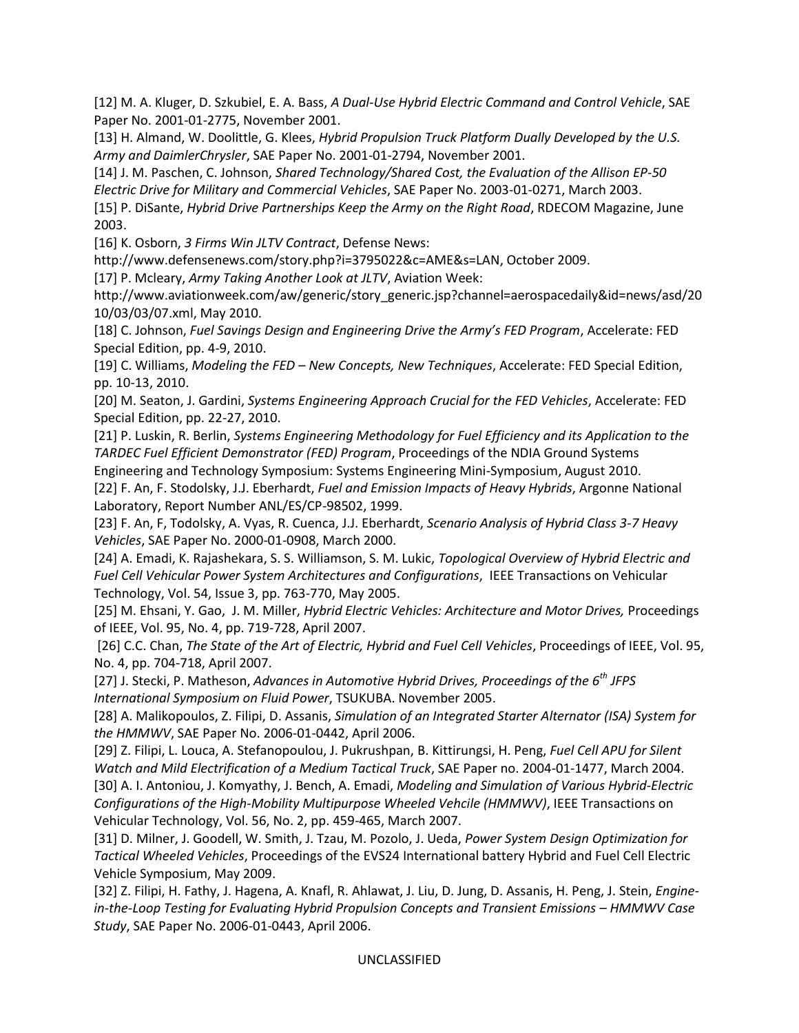[12] M. A. Kluger, D. Szkubiel, E. A. Bass, *A Dual-Use Hybrid Electric Command and Control Vehicle*, SAE Paper No. 2001-01-2775, November 2001.

[13] H. Almand, W. Doolittle, G. Klees, *Hybrid Propulsion Truck Platform Dually Developed by the U.S. Army and DaimlerChrysler*, SAE Paper No. 2001-01-2794, November 2001.

[14] J. M. Paschen, C. Johnson, *Shared Technology/Shared Cost, the Evaluation of the Allison EP-50 Electric Drive for Military and Commercial Vehicles*, SAE Paper No. 2003-01-0271, March 2003.

[15] P. DiSante, *Hybrid Drive Partnerships Keep the Army on the Right Road*, RDECOM Magazine, June 2003.

[16] K. Osborn, *3 Firms Win JLTV Contract*, Defense News:

http://www.defensenews.com/story.php?i=3795022&c=AME&s=LAN, October 2009.

[17] P. Mcleary, *Army Taking Another Look at JLTV*, Aviation Week:

http://www.aviationweek.com/aw/generic/story\_generic.jsp?channel=aerospacedaily&id=news/asd/20 10/03/03/07.xml, May 2010.

[18] C. Johnson, *Fuel Savings Design and Engineering Drive the Army's FED Program*, Accelerate: FED Special Edition, pp. 4-9, 2010.

[19] C. Williams, *Modeling the FED – New Concepts, New Techniques*, Accelerate: FED Special Edition, pp. 10-13, 2010.

[20] M. Seaton, J. Gardini, *Systems Engineering Approach Crucial for the FED Vehicles*, Accelerate: FED Special Edition, pp. 22-27, 2010.

[21] P. Luskin, R. Berlin, *Systems Engineering Methodology for Fuel Efficiency and its Application to the TARDEC Fuel Efficient Demonstrator (FED) Program*, Proceedings of the NDIA Ground Systems Engineering and Technology Symposium: Systems Engineering Mini-Symposium, August 2010.

[22] F. An, F. Stodolsky, J.J. Eberhardt, *Fuel and Emission Impacts of Heavy Hybrids*, Argonne National Laboratory, Report Number ANL/ES/CP-98502, 1999.

[23] F. An, F, Todolsky, A. Vyas, R. Cuenca, J.J. Eberhardt, *Scenario Analysis of Hybrid Class 3-7 Heavy Vehicles*, SAE Paper No. 2000-01-0908, March 2000.

[24] A. Emadi, K. Rajashekara, S. S. Williamson, S. M. Lukic, *Topological Overview of Hybrid Electric and Fuel Cell Vehicular Power System Architectures and Configurations*, IEEE Transactions on Vehicular Technology, Vol. 54, Issue 3, pp. 763-770, May 2005.

[25] M. Ehsani, Y. Gao, J. M. Miller, *Hybrid Electric Vehicles: Architecture and Motor Drives,* Proceedings of IEEE, Vol. 95, No. 4, pp. 719-728, April 2007.

 [26] C.C. Chan, *The State of the Art of Electric, Hybrid and Fuel Cell Vehicles*, Proceedings of IEEE, Vol. 95, No. 4, pp. 704-718, April 2007.

[27] J. Stecki, P. Matheson, *Advances in Automotive Hybrid Drives, Proceedings of the 6th JFPS International Symposium on Fluid Power*, TSUKUBA. November 2005.

[28] A. Malikopoulos, Z. Filipi, D. Assanis, *Simulation of an Integrated Starter Alternator (ISA) System for the HMMWV*, SAE Paper No. 2006-01-0442, April 2006.

[29] Z. Filipi, L. Louca, A. Stefanopoulou, J. Pukrushpan, B. Kittirungsi, H. Peng, *Fuel Cell APU for Silent Watch and Mild Electrification of a Medium Tactical Truck*, SAE Paper no. 2004-01-1477, March 2004. [30] A. I. Antoniou, J. Komyathy, J. Bench, A. Emadi, *Modeling and Simulation of Various Hybrid-Electric Configurations of the High-Mobility Multipurpose Wheeled Vehcile (HMMWV)*, IEEE Transactions on Vehicular Technology, Vol. 56, No. 2, pp. 459-465, March 2007.

[31] D. Milner, J. Goodell, W. Smith, J. Tzau, M. Pozolo, J. Ueda, *Power System Design Optimization for Tactical Wheeled Vehicles*, Proceedings of the EVS24 International battery Hybrid and Fuel Cell Electric Vehicle Symposium, May 2009.

[32] Z. Filipi, H. Fathy, J. Hagena, A. Knafl, R. Ahlawat, J. Liu, D. Jung, D. Assanis, H. Peng, J. Stein, *Enginein-the-Loop Testing for Evaluating Hybrid Propulsion Concepts and Transient Emissions – HMMWV Case Study*, SAE Paper No. 2006-01-0443, April 2006.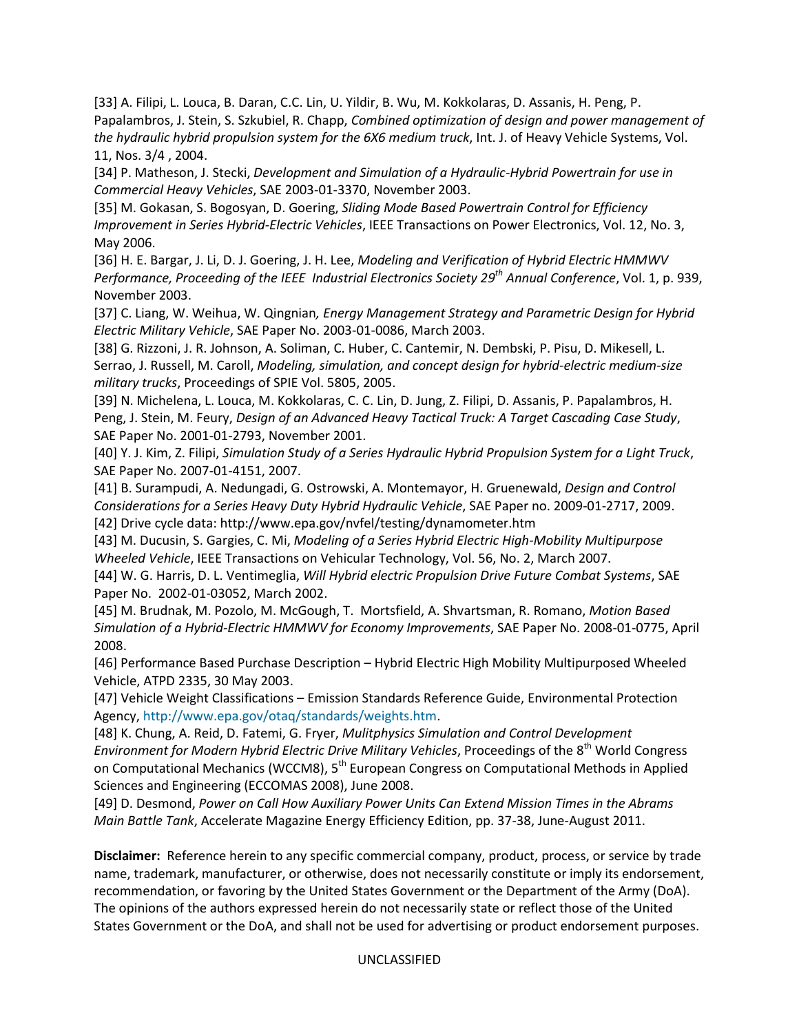[33] A. Filipi, L. Louca, B. Daran, C.C. Lin, U. Yildir, B. Wu, M. Kokkolaras, D. Assanis, H. Peng, P. Papalambros, J. Stein, S. Szkubiel, R. Chapp, *Combined optimization of design and power management of the hydraulic hybrid propulsion system for the 6X6 medium truck*, Int. J. of Heavy Vehicle Systems, Vol. 11, Nos. 3/4 , 2004.

[34] P. Matheson, J. Stecki, *Development and Simulation of a Hydraulic-Hybrid Powertrain for use in Commercial Heavy Vehicles*, SAE 2003-01-3370, November 2003.

[35] M. Gokasan, S. Bogosyan, D. Goering, *Sliding Mode Based Powertrain Control for Efficiency Improvement in Series Hybrid-Electric Vehicles*, IEEE Transactions on Power Electronics, Vol. 12, No. 3, May 2006.

[36] H. E. Bargar, J. Li, D. J. Goering, J. H. Lee, *Modeling and Verification of Hybrid Electric HMMWV Performance, Proceeding of the IEEE Industrial Electronics Society 29th Annual Conference*, Vol. 1, p. 939, November 2003.

[37] C. Liang, W. Weihua, W. Qingnian*, Energy Management Strategy and Parametric Design for Hybrid Electric Military Vehicle*, SAE Paper No. 2003-01-0086, March 2003.

[38] G. Rizzoni, J. R. Johnson, A. Soliman, C. Huber, C. Cantemir, N. Dembski, P. Pisu, D. Mikesell, L. Serrao, J. Russell, M. Caroll, *Modeling, simulation, and concept design for hybrid-electric medium-size military trucks*, Proceedings of SPIE Vol. 5805, 2005.

[39] N. Michelena, L. Louca, M. Kokkolaras, C. C. Lin, D. Jung, Z. Filipi, D. Assanis, P. Papalambros, H. Peng, J. Stein, M. Feury, *Design of an Advanced Heavy Tactical Truck: A Target Cascading Case Study*, SAE Paper No. 2001-01-2793, November 2001.

[40] Y. J. Kim, Z. Filipi, *Simulation Study of a Series Hydraulic Hybrid Propulsion System for a Light Truck*, SAE Paper No. 2007-01-4151, 2007.

[41] B. Surampudi, A. Nedungadi, G. Ostrowski, A. Montemayor, H. Gruenewald, *Design and Control Considerations for a Series Heavy Duty Hybrid Hydraulic Vehicle*, SAE Paper no. 2009-01-2717, 2009. [42] Drive cycle data: http://www.epa.gov/nvfel/testing/dynamometer.htm

[43] M. Ducusin, S. Gargies, C. Mi, *Modeling of a Series Hybrid Electric High-Mobility Multipurpose Wheeled Vehicle*, IEEE Transactions on Vehicular Technology, Vol. 56, No. 2, March 2007.

[44] W. G. Harris, D. L. Ventimeglia, *Will Hybrid electric Propulsion Drive Future Combat Systems*, SAE Paper No. 2002-01-03052, March 2002.

[45] M. Brudnak, M. Pozolo, M. McGough, T. Mortsfield, A. Shvartsman, R. Romano, *Motion Based Simulation of a Hybrid-Electric HMMWV for Economy Improvements*, SAE Paper No. 2008-01-0775, April 2008.

[46] Performance Based Purchase Description – Hybrid Electric High Mobility Multipurposed Wheeled Vehicle, ATPD 2335, 30 May 2003.

[47] Vehicle Weight Classifications – Emission Standards Reference Guide, Environmental Protection Agency, http://www.epa.gov/otaq/standards/weights.htm.

[48] K. Chung, A. Reid, D. Fatemi, G. Fryer, *Mulitphysics Simulation and Control Development Environment for Modern Hybrid Electric Drive Military Vehicles*, Proceedings of the 8th World Congress on Computational Mechanics (WCCM8), 5<sup>th</sup> European Congress on Computational Methods in Applied Sciences and Engineering (ECCOMAS 2008), June 2008.

[49] D. Desmond, *Power on Call How Auxiliary Power Units Can Extend Mission Times in the Abrams Main Battle Tank*, Accelerate Magazine Energy Efficiency Edition, pp. 37-38, June-August 2011.

**Disclaimer:** Reference herein to any specific commercial company, product, process, or service by trade name, trademark, manufacturer, or otherwise, does not necessarily constitute or imply its endorsement, recommendation, or favoring by the United States Government or the Department of the Army (DoA). The opinions of the authors expressed herein do not necessarily state or reflect those of the United States Government or the DoA, and shall not be used for advertising or product endorsement purposes.